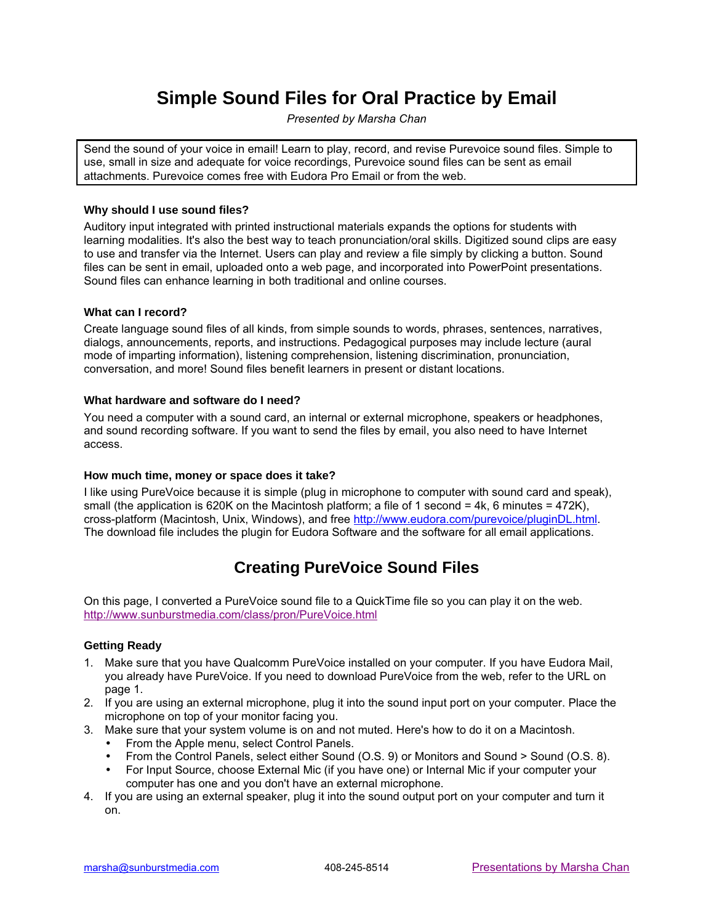# **Simple Sound Files for Oral Practice by Email**

*Presented by Marsha Chan*

Send the sound of your voice in email! Learn to play, record, and revise Purevoice sound files. Simple to use, small in size and adequate for voice recordings, Purevoice sound files can be sent as email attachments. Purevoice comes free with Eudora Pro Email or from the web.

### **Why should I use sound files?**

Auditory input integrated with printed instructional materials expands the options for students with learning modalities. It's also the best way to teach pronunciation/oral skills. Digitized sound clips are easy to use and transfer via the Internet. Users can play and review a file simply by clicking a button. Sound files can be sent in email, uploaded onto a web page, and incorporated into PowerPoint presentations. Sound files can enhance learning in both traditional and online courses.

### **What can I record?**

Create language sound files of all kinds, from simple sounds to words, phrases, sentences, narratives, dialogs, announcements, reports, and instructions. Pedagogical purposes may include lecture (aural mode of imparting information), listening comprehension, listening discrimination, pronunciation, conversation, and more! Sound files benefit learners in present or distant locations.

### **What hardware and software do I need?**

You need a computer with a sound card, an internal or external microphone, speakers or headphones, and sound recording software. If you want to send the files by email, you also need to have Internet access.

## **How much time, money or space does it take?**

I like using PureVoice because it is simple (plug in microphone to computer with sound card and speak), small (the application is 620K on the Macintosh platform; a file of 1 second  $=$  4k, 6 minutes  $=$  472K), cross-platform (Macintosh, Unix, Windows), and free [http://www.eudora.com/purevoice/pluginDL.html.](http://www.eudora.com/purevoice/pluginDL.html) The download file includes the plugin for Eudora Software and the software for all email applications.

# **Creating PureVoice Sound Files**

On this page, I converted a PureVoice sound file to a QuickTime file so you can play it on the web. <http://www.sunburstmedia.com/class/pron/PureVoice.html>

## **Getting Ready**

- 1. Make sure that you have Qualcomm PureVoice installed on your computer. If you have Eudora Mail, you already have PureVoice. If you need to download PureVoice from the web, refer to the URL on page 1.
- 2. If you are using an external microphone, plug it into the sound input port on your computer. Place the microphone on top of your monitor facing you.
- 3. Make sure that your system volume is on and not muted. Here's how to do it on a Macintosh.
	- From the Apple menu, select Control Panels.
	- From the Control Panels, select either Sound (O.S. 9) or Monitors and Sound > Sound (O.S. 8).
	- For Input Source, choose External Mic (if you have one) or Internal Mic if your computer your computer has one and you don't have an external microphone.
- 4. If you are using an external speaker, plug it into the sound output port on your computer and turn it on.